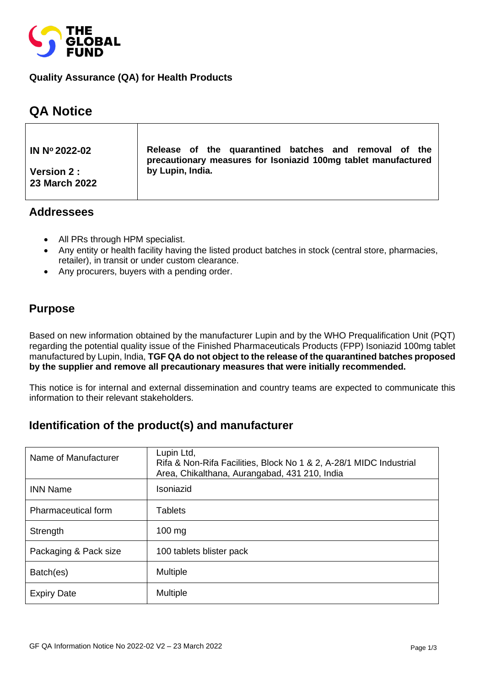

#### **Quality Assurance (QA) for Health Products**

# **QA Notice**

| IN $N^{\circ}$ 2022-02             | Release of the quarantined batches and removal of the<br>precautionary measures for Isoniazid 100mg tablet manufactured |  |
|------------------------------------|-------------------------------------------------------------------------------------------------------------------------|--|
| <b>Version 2:</b><br>23 March 2022 | by Lupin, India.                                                                                                        |  |

#### **Addressees**

- All PRs through HPM specialist.
- Any entity or health facility having the listed product batches in stock (central store, pharmacies, retailer), in transit or under custom clearance.
- Any procurers, buyers with a pending order.

### **Purpose**

Based on new information obtained by the manufacturer Lupin and by the WHO Prequalification Unit (PQT) regarding the potential quality issue of the Finished Pharmaceuticals Products (FPP) Isoniazid 100mg tablet manufactured by Lupin, India, **TGF QA do not object to the release of the quarantined batches proposed by the supplier and remove all precautionary measures that were initially recommended.** 

This notice is for internal and external dissemination and country teams are expected to communicate this information to their relevant stakeholders.

# **Identification of the product(s) and manufacturer**

| Name of Manufacturer  | Lupin Ltd,<br>Rifa & Non-Rifa Facilities, Block No 1 & 2, A-28/1 MIDC Industrial<br>Area, Chikalthana, Aurangabad, 431 210, India |
|-----------------------|-----------------------------------------------------------------------------------------------------------------------------------|
| <b>INN Name</b>       | Isoniazid                                                                                                                         |
| Pharmaceutical form   | Tablets                                                                                                                           |
| Strength              | $100 \text{ mg}$                                                                                                                  |
| Packaging & Pack size | 100 tablets blister pack                                                                                                          |
| Batch(es)             | <b>Multiple</b>                                                                                                                   |
| <b>Expiry Date</b>    | <b>Multiple</b>                                                                                                                   |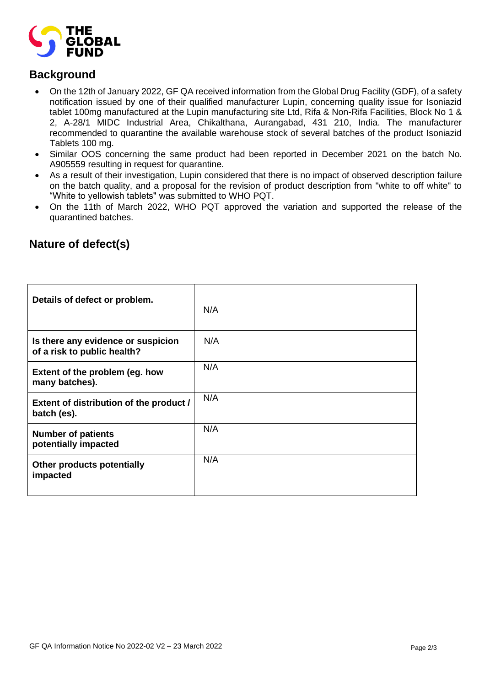

### **Background**

- On the 12th of January 2022, GF QA received information from the Global Drug Facility (GDF), of a safety notification issued by one of their qualified manufacturer Lupin, concerning quality issue for Isoniazid tablet 100mg manufactured at the Lupin manufacturing site Ltd, Rifa & Non-Rifa Facilities, Block No 1 & 2, A-28/1 MIDC Industrial Area, Chikalthana, Aurangabad, 431 210, India. The manufacturer recommended to quarantine the available warehouse stock of several batches of the product Isoniazid Tablets 100 mg.
- Similar OOS concerning the same product had been reported in December 2021 on the batch No. A905559 resulting in request for quarantine.
- As a result of their investigation, Lupin considered that there is no impact of observed description failure on the batch quality, and a proposal for the revision of product description from "white to off white" to "White to yellowish tablets" was submitted to WHO PQT.
- On the 11th of March 2022, WHO PQT approved the variation and supported the release of the quarantined batches.

| Details of defect or problem.                                     | N/A |
|-------------------------------------------------------------------|-----|
| Is there any evidence or suspicion<br>of a risk to public health? | N/A |
| Extent of the problem (eg. how<br>many batches).                  | N/A |
| Extent of distribution of the product /<br>batch (es).            | N/A |
| <b>Number of patients</b><br>potentially impacted                 | N/A |
| Other products potentially<br>impacted                            | N/A |

# **Nature of defect(s)**